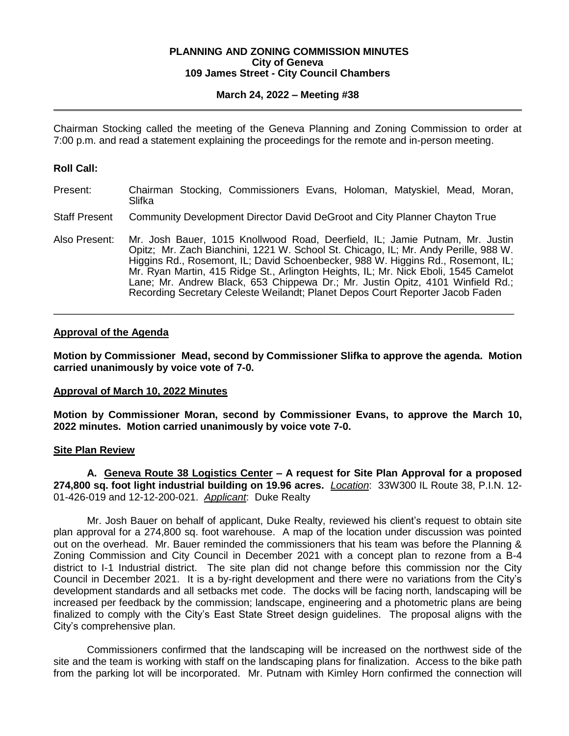#### **PLANNING AND ZONING COMMISSION MINUTES City of Geneva 109 James Street - City Council Chambers**

# **March 24, 2022 – Meeting #38**

Chairman Stocking called the meeting of the Geneva Planning and Zoning Commission to order at 7:00 p.m. and read a statement explaining the proceedings for the remote and in-person meeting.

# **Roll Call:**

- Present: Chairman Stocking, Commissioners Evans, Holoman, Matyskiel, Mead, Moran, Slifka
- Staff Present Community Development Director David DeGroot and City Planner Chayton True
- Also Present: Mr. Josh Bauer, 1015 Knollwood Road, Deerfield, IL; Jamie Putnam, Mr. Justin Opitz; Mr. Zach Bianchini, 1221 W. School St. Chicago, IL; Mr. Andy Perille, 988 W. Higgins Rd., Rosemont, IL; David Schoenbecker, 988 W. Higgins Rd., Rosemont, IL; Mr. Ryan Martin, 415 Ridge St., Arlington Heights, IL; Mr. Nick Eboli, 1545 Camelot Lane; Mr. Andrew Black, 653 Chippewa Dr.; Mr. Justin Opitz, 4101 Winfield Rd.; Recording Secretary Celeste Weilandt; Planet Depos Court Reporter Jacob Faden

\_\_\_\_\_\_\_\_\_\_\_\_\_\_\_\_\_\_\_\_\_\_\_\_\_\_\_\_\_\_\_\_\_\_\_\_\_\_\_\_\_\_\_\_\_\_\_\_\_\_\_\_\_\_\_\_\_\_\_\_\_\_\_\_\_\_\_\_\_\_\_\_\_\_\_\_\_\_\_\_\_

### **Approval of the Agenda**

**Motion by Commissioner Mead, second by Commissioner Slifka to approve the agenda. Motion carried unanimously by voice vote of 7-0.**

### **Approval of March 10, 2022 Minutes**

**Motion by Commissioner Moran, second by Commissioner Evans, to approve the March 10, 2022 minutes. Motion carried unanimously by voice vote 7-0.** 

### **Site Plan Review**

**A. Geneva Route 38 Logistics Center – A request for Site Plan Approval for a proposed 274,800 sq. foot light industrial building on 19.96 acres.** *Location*: 33W300 IL Route 38, P.I.N. 12- 01-426-019 and 12-12-200-021. *Applicant*: Duke Realty

Mr. Josh Bauer on behalf of applicant, Duke Realty, reviewed his client's request to obtain site plan approval for a 274,800 sq. foot warehouse. A map of the location under discussion was pointed out on the overhead. Mr. Bauer reminded the commissioners that his team was before the Planning & Zoning Commission and City Council in December 2021 with a concept plan to rezone from a B-4 district to I-1 Industrial district. The site plan did not change before this commission nor the City Council in December 2021. It is a by-right development and there were no variations from the City's development standards and all setbacks met code. The docks will be facing north, landscaping will be increased per feedback by the commission; landscape, engineering and a photometric plans are being finalized to comply with the City's East State Street design guidelines. The proposal aligns with the City's comprehensive plan.

Commissioners confirmed that the landscaping will be increased on the northwest side of the site and the team is working with staff on the landscaping plans for finalization. Access to the bike path from the parking lot will be incorporated. Mr. Putnam with Kimley Horn confirmed the connection will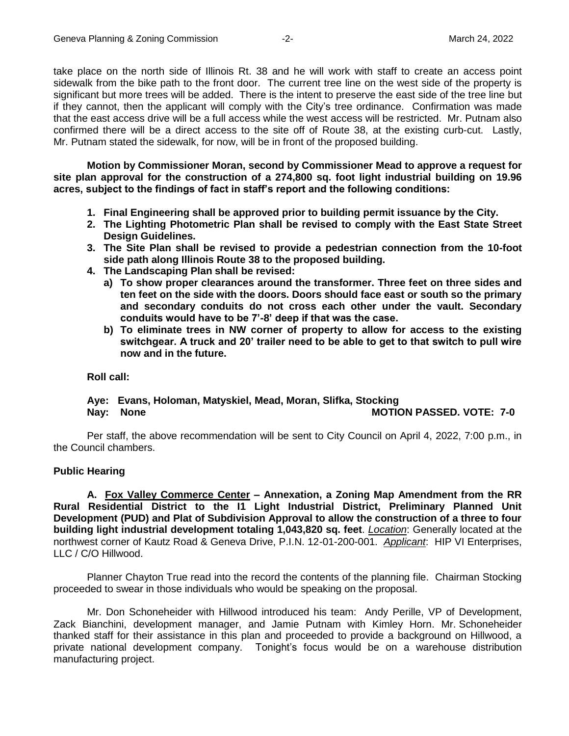take place on the north side of Illinois Rt. 38 and he will work with staff to create an access point sidewalk from the bike path to the front door. The current tree line on the west side of the property is significant but more trees will be added. There is the intent to preserve the east side of the tree line but if they cannot, then the applicant will comply with the City's tree ordinance. Confirmation was made that the east access drive will be a full access while the west access will be restricted. Mr. Putnam also confirmed there will be a direct access to the site off of Route 38, at the existing curb-cut. Lastly, Mr. Putnam stated the sidewalk, for now, will be in front of the proposed building.

**Motion by Commissioner Moran, second by Commissioner Mead to approve a request for site plan approval for the construction of a 274,800 sq. foot light industrial building on 19.96 acres, subject to the findings of fact in staff's report and the following conditions:** 

- **1. Final Engineering shall be approved prior to building permit issuance by the City.**
- **2. The Lighting Photometric Plan shall be revised to comply with the East State Street Design Guidelines.**
- **3. The Site Plan shall be revised to provide a pedestrian connection from the 10-foot side path along Illinois Route 38 to the proposed building.**
- **4. The Landscaping Plan shall be revised:** 
	- **a) To show proper clearances around the transformer. Three feet on three sides and ten feet on the side with the doors. Doors should face east or south so the primary and secondary conduits do not cross each other under the vault. Secondary conduits would have to be 7'-8' deep if that was the case.**
	- **b) To eliminate trees in NW corner of property to allow for access to the existing switchgear. A truck and 20' trailer need to be able to get to that switch to pull wire now and in the future.**

# **Roll call:**

# **Aye: Evans, Holoman, Matyskiel, Mead, Moran, Slifka, Stocking Nay: None MOTION PASSED. VOTE: 7-0**

Per staff, the above recommendation will be sent to City Council on April 4, 2022, 7:00 p.m., in the Council chambers.

# **Public Hearing**

**A. Fox Valley Commerce Center – Annexation, a Zoning Map Amendment from the RR Rural Residential District to the I1 Light Industrial District, Preliminary Planned Unit Development (PUD) and Plat of Subdivision Approval to allow the construction of a three to four building light industrial development totaling 1,043,820 sq. feet**. *Location*: Generally located at the northwest corner of Kautz Road & Geneva Drive, P.I.N. 12-01-200-001. *Applicant*: HIP VI Enterprises, LLC / C/O Hillwood.

Planner Chayton True read into the record the contents of the planning file. Chairman Stocking proceeded to swear in those individuals who would be speaking on the proposal.

Mr. Don Schoneheider with Hillwood introduced his team: Andy Perille, VP of Development, Zack Bianchini, development manager, and Jamie Putnam with Kimley Horn. Mr. Schoneheider thanked staff for their assistance in this plan and proceeded to provide a background on Hillwood, a private national development company. Tonight's focus would be on a warehouse distribution manufacturing project.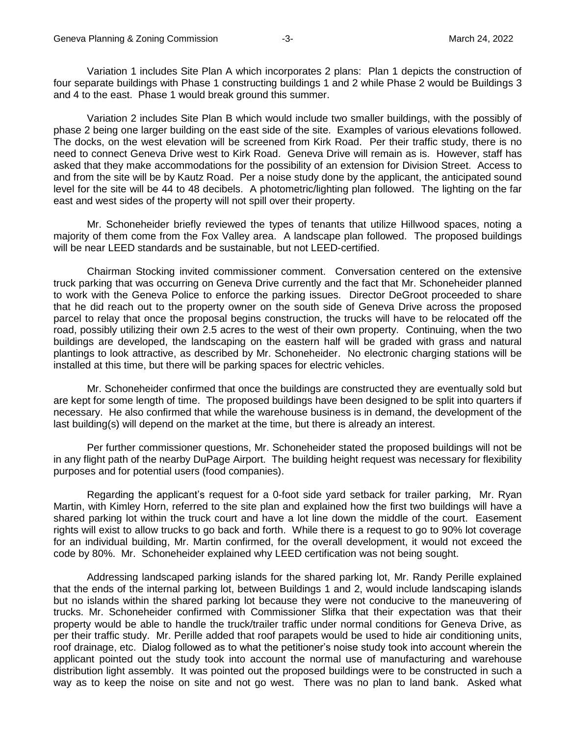Variation 1 includes Site Plan A which incorporates 2 plans: Plan 1 depicts the construction of four separate buildings with Phase 1 constructing buildings 1 and 2 while Phase 2 would be Buildings 3 and 4 to the east. Phase 1 would break ground this summer.

Variation 2 includes Site Plan B which would include two smaller buildings, with the possibly of phase 2 being one larger building on the east side of the site. Examples of various elevations followed. The docks, on the west elevation will be screened from Kirk Road. Per their traffic study, there is no need to connect Geneva Drive west to Kirk Road. Geneva Drive will remain as is. However, staff has asked that they make accommodations for the possibility of an extension for Division Street. Access to and from the site will be by Kautz Road. Per a noise study done by the applicant, the anticipated sound level for the site will be 44 to 48 decibels. A photometric/lighting plan followed. The lighting on the far east and west sides of the property will not spill over their property.

Mr. Schoneheider briefly reviewed the types of tenants that utilize Hillwood spaces, noting a majority of them come from the Fox Valley area. A landscape plan followed. The proposed buildings will be near LEED standards and be sustainable, but not LEED-certified.

Chairman Stocking invited commissioner comment. Conversation centered on the extensive truck parking that was occurring on Geneva Drive currently and the fact that Mr. Schoneheider planned to work with the Geneva Police to enforce the parking issues. Director DeGroot proceeded to share that he did reach out to the property owner on the south side of Geneva Drive across the proposed parcel to relay that once the proposal begins construction, the trucks will have to be relocated off the road, possibly utilizing their own 2.5 acres to the west of their own property. Continuing, when the two buildings are developed, the landscaping on the eastern half will be graded with grass and natural plantings to look attractive, as described by Mr. Schoneheider. No electronic charging stations will be installed at this time, but there will be parking spaces for electric vehicles.

Mr. Schoneheider confirmed that once the buildings are constructed they are eventually sold but are kept for some length of time. The proposed buildings have been designed to be split into quarters if necessary. He also confirmed that while the warehouse business is in demand, the development of the last building(s) will depend on the market at the time, but there is already an interest.

Per further commissioner questions, Mr. Schoneheider stated the proposed buildings will not be in any flight path of the nearby DuPage Airport. The building height request was necessary for flexibility purposes and for potential users (food companies).

Regarding the applicant's request for a 0-foot side yard setback for trailer parking, Mr. Ryan Martin, with Kimley Horn, referred to the site plan and explained how the first two buildings will have a shared parking lot within the truck court and have a lot line down the middle of the court. Easement rights will exist to allow trucks to go back and forth. While there is a request to go to 90% lot coverage for an individual building, Mr. Martin confirmed, for the overall development, it would not exceed the code by 80%. Mr. Schoneheider explained why LEED certification was not being sought.

Addressing landscaped parking islands for the shared parking lot, Mr. Randy Perille explained that the ends of the internal parking lot, between Buildings 1 and 2, would include landscaping islands but no islands within the shared parking lot because they were not conducive to the maneuvering of trucks. Mr. Schoneheider confirmed with Commissioner Slifka that their expectation was that their property would be able to handle the truck/trailer traffic under normal conditions for Geneva Drive, as per their traffic study. Mr. Perille added that roof parapets would be used to hide air conditioning units, roof drainage, etc. Dialog followed as to what the petitioner's noise study took into account wherein the applicant pointed out the study took into account the normal use of manufacturing and warehouse distribution light assembly. It was pointed out the proposed buildings were to be constructed in such a way as to keep the noise on site and not go west. There was no plan to land bank. Asked what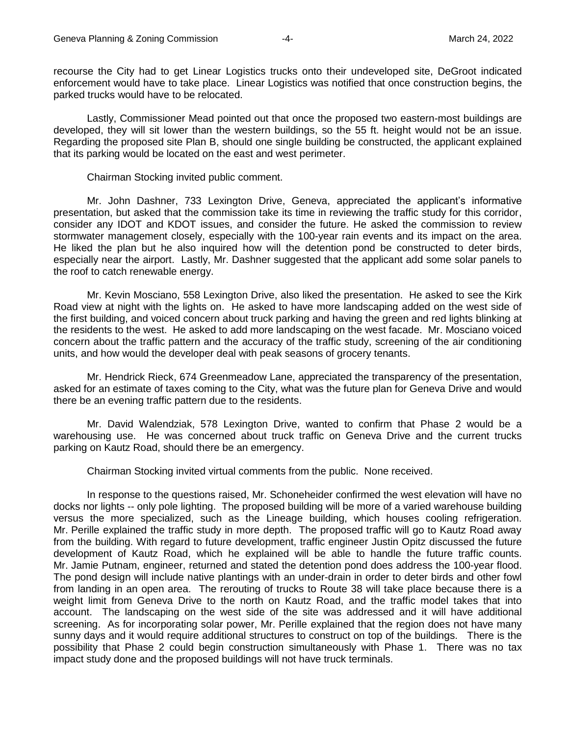recourse the City had to get Linear Logistics trucks onto their undeveloped site, DeGroot indicated enforcement would have to take place. Linear Logistics was notified that once construction begins, the parked trucks would have to be relocated.

Lastly, Commissioner Mead pointed out that once the proposed two eastern-most buildings are developed, they will sit lower than the western buildings, so the 55 ft. height would not be an issue. Regarding the proposed site Plan B, should one single building be constructed, the applicant explained that its parking would be located on the east and west perimeter.

### Chairman Stocking invited public comment.

Mr. John Dashner, 733 Lexington Drive, Geneva, appreciated the applicant's informative presentation, but asked that the commission take its time in reviewing the traffic study for this corridor, consider any IDOT and KDOT issues, and consider the future. He asked the commission to review stormwater management closely, especially with the 100-year rain events and its impact on the area. He liked the plan but he also inquired how will the detention pond be constructed to deter birds, especially near the airport. Lastly, Mr. Dashner suggested that the applicant add some solar panels to the roof to catch renewable energy.

Mr. Kevin Mosciano, 558 Lexington Drive, also liked the presentation. He asked to see the Kirk Road view at night with the lights on. He asked to have more landscaping added on the west side of the first building, and voiced concern about truck parking and having the green and red lights blinking at the residents to the west. He asked to add more landscaping on the west facade. Mr. Mosciano voiced concern about the traffic pattern and the accuracy of the traffic study, screening of the air conditioning units, and how would the developer deal with peak seasons of grocery tenants.

Mr. Hendrick Rieck, 674 Greenmeadow Lane, appreciated the transparency of the presentation, asked for an estimate of taxes coming to the City, what was the future plan for Geneva Drive and would there be an evening traffic pattern due to the residents.

Mr. David Walendziak, 578 Lexington Drive, wanted to confirm that Phase 2 would be a warehousing use. He was concerned about truck traffic on Geneva Drive and the current trucks parking on Kautz Road, should there be an emergency.

Chairman Stocking invited virtual comments from the public. None received.

In response to the questions raised, Mr. Schoneheider confirmed the west elevation will have no docks nor lights -- only pole lighting. The proposed building will be more of a varied warehouse building versus the more specialized, such as the Lineage building, which houses cooling refrigeration. Mr. Perille explained the traffic study in more depth. The proposed traffic will go to Kautz Road away from the building. With regard to future development, traffic engineer Justin Opitz discussed the future development of Kautz Road, which he explained will be able to handle the future traffic counts. Mr. Jamie Putnam, engineer, returned and stated the detention pond does address the 100-year flood. The pond design will include native plantings with an under-drain in order to deter birds and other fowl from landing in an open area. The rerouting of trucks to Route 38 will take place because there is a weight limit from Geneva Drive to the north on Kautz Road, and the traffic model takes that into account. The landscaping on the west side of the site was addressed and it will have additional screening. As for incorporating solar power, Mr. Perille explained that the region does not have many sunny days and it would require additional structures to construct on top of the buildings. There is the possibility that Phase 2 could begin construction simultaneously with Phase 1. There was no tax impact study done and the proposed buildings will not have truck terminals.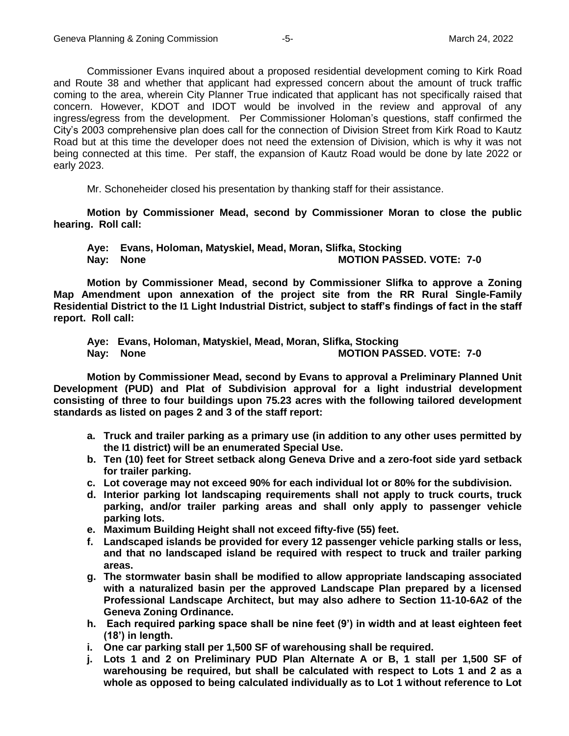Commissioner Evans inquired about a proposed residential development coming to Kirk Road and Route 38 and whether that applicant had expressed concern about the amount of truck traffic coming to the area, wherein City Planner True indicated that applicant has not specifically raised that concern. However, KDOT and IDOT would be involved in the review and approval of any ingress/egress from the development. Per Commissioner Holoman's questions, staff confirmed the City's 2003 comprehensive plan does call for the connection of Division Street from Kirk Road to Kautz Road but at this time the developer does not need the extension of Division, which is why it was not being connected at this time. Per staff, the expansion of Kautz Road would be done by late 2022 or early 2023.

Mr. Schoneheider closed his presentation by thanking staff for their assistance.

**Motion by Commissioner Mead, second by Commissioner Moran to close the public hearing. Roll call:** 

**Aye: Evans, Holoman, Matyskiel, Mead, Moran, Slifka, Stocking Nay: None MOTION PASSED. VOTE: 7-0**

**Motion by Commissioner Mead, second by Commissioner Slifka to approve a Zoning Map Amendment upon annexation of the project site from the RR Rural Single-Family Residential District to the I1 Light Industrial District, subject to staff's findings of fact in the staff report. Roll call:**

**Aye: Evans, Holoman, Matyskiel, Mead, Moran, Slifka, Stocking MOTION PASSED. VOTE: 7-0** 

**Motion by Commissioner Mead, second by Evans to approval a Preliminary Planned Unit Development (PUD) and Plat of Subdivision approval for a light industrial development consisting of three to four buildings upon 75.23 acres with the following tailored development standards as listed on pages 2 and 3 of the staff report:** 

- **a. Truck and trailer parking as a primary use (in addition to any other uses permitted by the I1 district) will be an enumerated Special Use.**
- **b. Ten (10) feet for Street setback along Geneva Drive and a zero-foot side yard setback for trailer parking.**
- **c. Lot coverage may not exceed 90% for each individual lot or 80% for the subdivision.**
- **d. Interior parking lot landscaping requirements shall not apply to truck courts, truck parking, and/or trailer parking areas and shall only apply to passenger vehicle parking lots.**
- **e. Maximum Building Height shall not exceed fifty-five (55) feet.**
- **f. Landscaped islands be provided for every 12 passenger vehicle parking stalls or less, and that no landscaped island be required with respect to truck and trailer parking areas.**
- **g. The stormwater basin shall be modified to allow appropriate landscaping associated with a naturalized basin per the approved Landscape Plan prepared by a licensed Professional Landscape Architect, but may also adhere to Section 11-10-6A2 of the Geneva Zoning Ordinance.**
- **h. Each required parking space shall be nine feet (9') in width and at least eighteen feet (18') in length.**
- **i. One car parking stall per 1,500 SF of warehousing shall be required.**
- **j. Lots 1 and 2 on Preliminary PUD Plan Alternate A or B, 1 stall per 1,500 SF of warehousing be required, but shall be calculated with respect to Lots 1 and 2 as a whole as opposed to being calculated individually as to Lot 1 without reference to Lot**